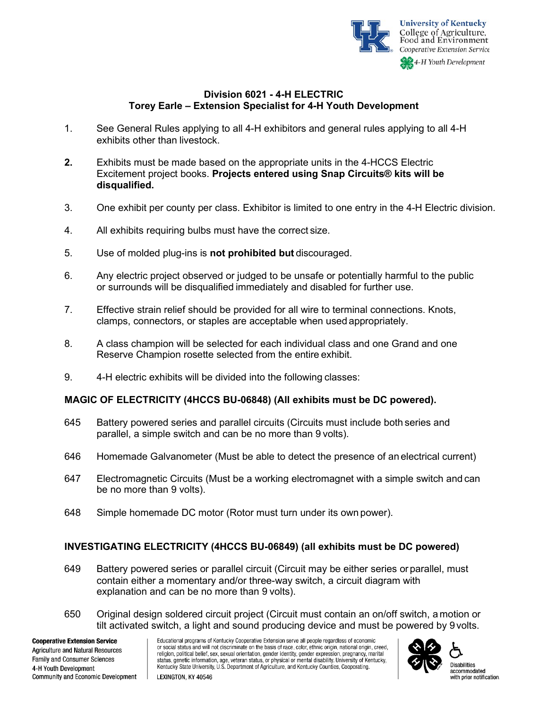

# **Division 6021 - 4-H ELECTRIC Torey Earle – Extension Specialist for 4-H Youth Development**

- 1. See General Rules applying to all 4-H exhibitors and general rules applying to all 4-H exhibits other than livestock.
- **2.** Exhibits must be made based on the appropriate units in the 4-HCCS Electric Excitement project books. **Projects entered using Snap Circuits® kits will be disqualified.**
- 3. One exhibit per county per class. Exhibitor is limited to one entry in the 4-H Electric division.
- 4. All exhibits requiring bulbs must have the correct size.
- 5. Use of molded plug-ins is **not prohibited but** discouraged.
- 6. Any electric project observed or judged to be unsafe or potentially harmful to the public or surrounds will be disqualified immediately and disabled for further use.
- 7. Effective strain relief should be provided for all wire to terminal connections. Knots, clamps, connectors, or staples are acceptable when used appropriately.
- 8. A class champion will be selected for each individual class and one Grand and one Reserve Champion rosette selected from the entire exhibit.
- 9. 4-H electric exhibits will be divided into the following classes:

### **MAGIC OF ELECTRICITY (4HCCS BU-06848) (All exhibits must be DC powered).**

- 645 Battery powered series and parallel circuits (Circuits must include both series and parallel, a simple switch and can be no more than 9 volts).
- 646 Homemade Galvanometer (Must be able to detect the presence of an electrical current)
- 647 Electromagnetic Circuits (Must be a working electromagnet with a simple switch and can be no more than 9 volts).
- 648 Simple homemade DC motor (Rotor must turn under its own power).

# **INVESTIGATING ELECTRICITY (4HCCS BU-06849) (all exhibits must be DC powered)**

- 649 Battery powered series or parallel circuit (Circuit may be either series or parallel, must contain either a momentary and/or three-way switch, a circuit diagram with explanation and can be no more than 9 volts).
- 650 Original design soldered circuit project (Circuit must contain an on/off switch, a motion or tilt activated switch, a light and sound producing device and must be powered by 9volts.



accommodated with prior notification.